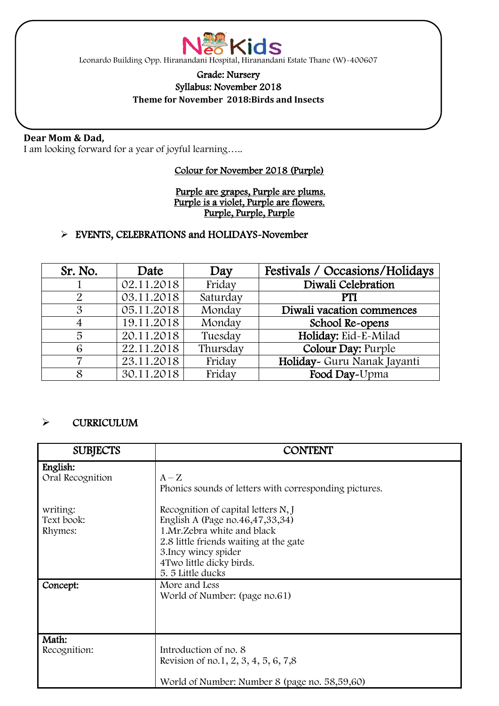

Leonardo Building Opp. Hiranandani Hospital, Hiranandani Estate Thane (W)-400607

### Grade: Nursery Syllabus: November 2018

**Theme for November 2018:Birds and Insects**

### **Dear Mom & Dad,**

 $\overline{\phantom{a}}$ 

 $\overline{\phantom{0}}$ 

I am looking forward for a year of joyful learning…..

### Colour for November 2018 (Purple)

#### Purple are grapes, Purple are plums. Purple is a violet, Purple are flowers. Purple, Purple, Purple

### > EVENTS, CELEBRATIONS and HOLIDAYS-November

| Sr. No.       | Date       | Day      | Festivals / Occasions/Holidays |
|---------------|------------|----------|--------------------------------|
|               | 02.11.2018 | Friday   | Diwali Celebration             |
|               | 03.11.2018 | Saturday | PTI                            |
| $\mathcal{S}$ | 05.11.2018 | Monday   | Diwali vacation commences      |
| 4             | 19.11.2018 | Monday   | School Re-opens                |
| 5             | 20.11.2018 | Tuesday  | Holiday: Eid-E-Milad           |
| 6             | 22.11.2018 | Thursday | Colour Day: Purple             |
| ⇁             | 23.11.2018 | Friday   | Holiday~ Guru Nanak Jayanti    |
| 8             | 30.11.2018 | Friday   | Food Day-Upma                  |

#### $\triangleright$  CURRICULUM

| <b>SUBJECTS</b>                   | <b>CONTENT</b>                                                                                                                                                                                                            |  |
|-----------------------------------|---------------------------------------------------------------------------------------------------------------------------------------------------------------------------------------------------------------------------|--|
| English:<br>Oral Recognition      | $A-Z$<br>Phonics sounds of letters with corresponding pictures.                                                                                                                                                           |  |
| writing:<br>Text book:<br>Rhymes: | Recognition of capital letters N, J<br>English A (Page no.46,47,33,34)<br>1.Mr. Zebra white and black<br>2.8 little friends waiting at the gate<br>3. Incy wincy spider<br>4 Two little dicky birds.<br>5. 5 Little ducks |  |
| Concept:                          | More and Less<br>World of Number: (page no.61)                                                                                                                                                                            |  |
| Math:<br>Recognition:             | Introduction of no. 8<br>Revision of no.1, 2, 3, 4, 5, 6, 7,8<br>World of Number: Number 8 (page no. 58,59,60)                                                                                                            |  |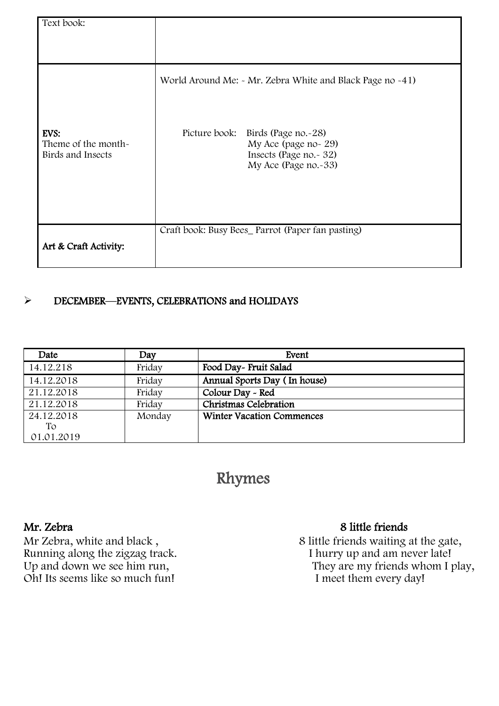| Text book:                                       |                                                                                                                |  |  |  |
|--------------------------------------------------|----------------------------------------------------------------------------------------------------------------|--|--|--|
|                                                  |                                                                                                                |  |  |  |
|                                                  | World Around Me: - Mr. Zebra White and Black Page no -41)                                                      |  |  |  |
| EVS:<br>Theme of the month-<br>Birds and Insects | Picture book:<br>Birds (Page no.~28)<br>My Ace (page no-29)<br>Insects (Page no. - 32)<br>My Ace (Page no.-33) |  |  |  |
| Art & Craft Activity:                            | Craft book: Busy Bees_ Parrot (Paper fan pasting)                                                              |  |  |  |

# > DECEMBER—EVENTS, CELEBRATIONS and HOLIDAYS

| Date       | Day    | Event                            |
|------------|--------|----------------------------------|
| 14.12.218  | Friday | Food Day- Fruit Salad            |
| 14.12.2018 | Friday | Annual Sports Day (In house)     |
| 21.12.2018 | Friday | Colour Day - Red                 |
| 21.12.2018 | Friday | Christmas Celebration            |
| 24.12.2018 | Monday | <b>Winter Vacation Commences</b> |
| Tо         |        |                                  |
| 01.01.2019 |        |                                  |

# Rhymes

Mr Zebra, white and black,<br>Running along the zigzag track.<br>Up and down we see him run, Oh! Its seems like so much fun! I meet them every day!

# Mr. Zebra 8 little friends

Mr Zebra, white and black ,  $\hskip 1.5cm 8$  little friends waiting at the gate, Up and down we see him run, they are my friends whom I play,